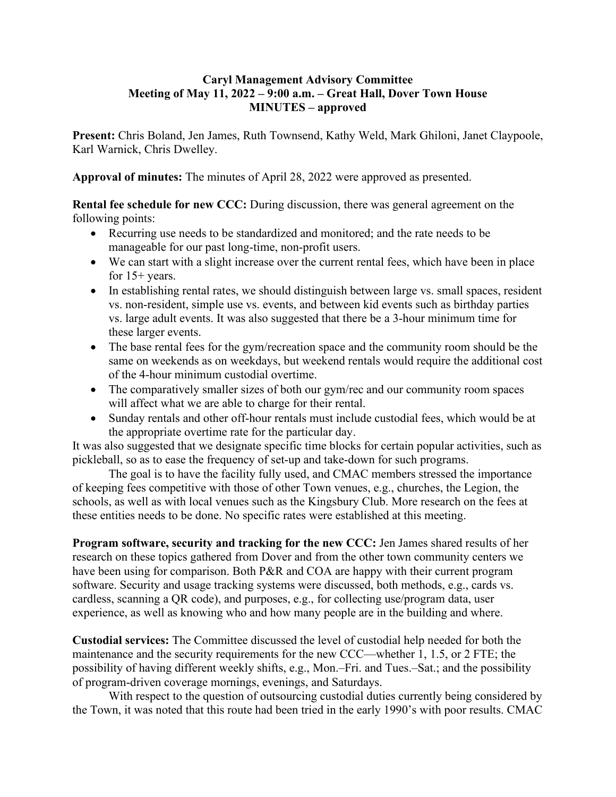## **Caryl Management Advisory Committee Meeting of May 11, 2022 – 9:00 a.m. – Great Hall, Dover Town House MINUTES – approved**

**Present:** Chris Boland, Jen James, Ruth Townsend, Kathy Weld, Mark Ghiloni, Janet Claypoole, Karl Warnick, Chris Dwelley.

**Approval of minutes:** The minutes of April 28, 2022 were approved as presented.

**Rental fee schedule for new CCC:** During discussion, there was general agreement on the following points:

- Recurring use needs to be standardized and monitored; and the rate needs to be manageable for our past long-time, non-profit users.
- We can start with a slight increase over the current rental fees, which have been in place for 15+ years.
- In establishing rental rates, we should distinguish between large vs. small spaces, resident vs. non-resident, simple use vs. events, and between kid events such as birthday parties vs. large adult events. It was also suggested that there be a 3-hour minimum time for these larger events.
- The base rental fees for the gym/recreation space and the community room should be the same on weekends as on weekdays, but weekend rentals would require the additional cost of the 4-hour minimum custodial overtime.
- The comparatively smaller sizes of both our gym/rec and our community room spaces will affect what we are able to charge for their rental.
- Sunday rentals and other off-hour rentals must include custodial fees, which would be at the appropriate overtime rate for the particular day.

It was also suggested that we designate specific time blocks for certain popular activities, such as pickleball, so as to ease the frequency of set-up and take-down for such programs.

The goal is to have the facility fully used, and CMAC members stressed the importance of keeping fees competitive with those of other Town venues, e.g., churches, the Legion, the schools, as well as with local venues such as the Kingsbury Club. More research on the fees at these entities needs to be done. No specific rates were established at this meeting.

**Program software, security and tracking for the new CCC:** Jen James shared results of her research on these topics gathered from Dover and from the other town community centers we have been using for comparison. Both P&R and COA are happy with their current program software. Security and usage tracking systems were discussed, both methods, e.g., cards vs. cardless, scanning a QR code), and purposes, e.g., for collecting use/program data, user experience, as well as knowing who and how many people are in the building and where.

**Custodial services:** The Committee discussed the level of custodial help needed for both the maintenance and the security requirements for the new CCC—whether 1, 1.5, or 2 FTE; the possibility of having different weekly shifts, e.g., Mon.–Fri. and Tues.–Sat.; and the possibility of program-driven coverage mornings, evenings, and Saturdays.

With respect to the question of outsourcing custodial duties currently being considered by the Town, it was noted that this route had been tried in the early 1990's with poor results. CMAC